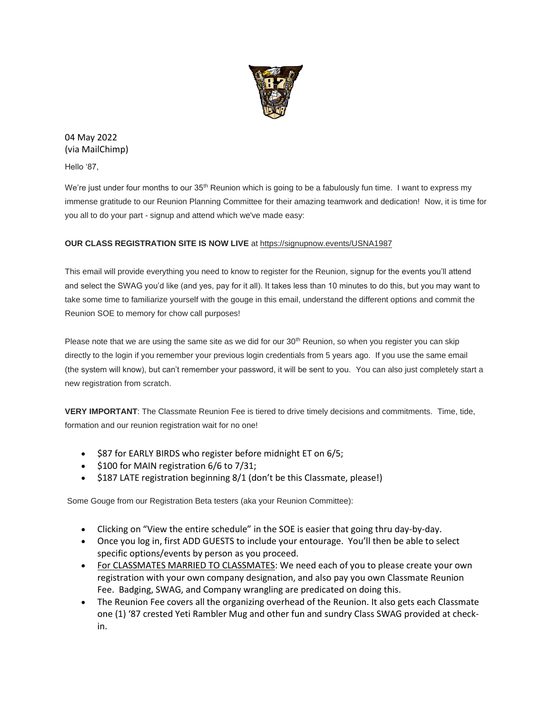

04 May 2022 (via MailChimp)

Hello '87,

We're just under four months to our 35<sup>th</sup> Reunion which is going to be a fabulously fun time. I want to express my immense gratitude to our Reunion Planning Committee for their amazing teamwork and dedication! Now, it is time for you all to do your part - signup and attend which we've made easy:

# **OUR CLASS REGISTRATION SITE IS NOW LIVE** at [https://signupnow.events/USNA1987](https://urldefense.com/v3/__https:/usna87.us8.list-manage.com/track/click?u=2684e72b50947e1384ea3ea73&id=1babefc0ff&e=481298a62f__;!!MvWE!TSXd9cj8AdlUIsSa29Ts8UrHgVc_E_cVRugpdMuGodrgePtpmJOKt9w9-I1gJDH-Bg$)

This email will provide everything you need to know to register for the Reunion, signup for the events you'll attend and select the SWAG you'd like (and yes, pay for it all). It takes less than 10 minutes to do this, but you may want to take some time to familiarize yourself with the gouge in this email, understand the different options and commit the Reunion SOE to memory for chow call purposes!

Please note that we are using the same site as we did for our 30<sup>th</sup> Reunion, so when you register you can skip directly to the login if you remember your previous login credentials from 5 years ago. If you use the same email (the system will know), but can't remember your password, it will be sent to you. You can also just completely start a new registration from scratch.

**VERY IMPORTANT**: The Classmate Reunion Fee is tiered to drive timely decisions and commitments. Time, tide, formation and our reunion registration wait for no one!

- \$87 for EARLY BIRDS who register before midnight ET on 6/5;
- \$100 for MAIN registration 6/6 to 7/31;
- \$187 LATE registration beginning 8/1 (don't be this Classmate, please!)

Some Gouge from our Registration Beta testers (aka your Reunion Committee):

- Clicking on "View the entire schedule" in the SOE is easier that going thru day-by-day.
- Once you log in, first ADD GUESTS to include your entourage. You'll then be able to select specific options/events by person as you proceed.
- For CLASSMATES MARRIED TO CLASSMATES: We need each of you to please create your own registration with your own company designation, and also pay you own Classmate Reunion Fee. Badging, SWAG, and Company wrangling are predicated on doing this.
- The Reunion Fee covers all the organizing overhead of the Reunion. It also gets each Classmate one (1) '87 crested Yeti Rambler Mug and other fun and sundry Class SWAG provided at checkin.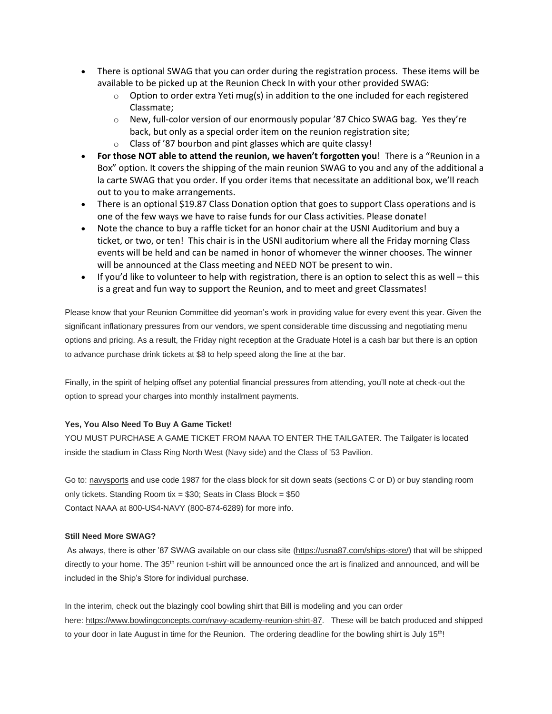- There is optional SWAG that you can order during the registration process. These items will be available to be picked up at the Reunion Check In with your other provided SWAG:
	- $\circ$  Option to order extra Yeti mug(s) in addition to the one included for each registered Classmate;
	- $\circ$  New, full-color version of our enormously popular '87 Chico SWAG bag. Yes they're back, but only as a special order item on the reunion registration site;
	- o Class of '87 bourbon and pint glasses which are quite classy!
- **For those NOT able to attend the reunion, we haven't forgotten you**! There is a "Reunion in a Box" option. It covers the shipping of the main reunion SWAG to you and any of the additional a la carte SWAG that you order. If you order items that necessitate an additional box, we'll reach out to you to make arrangements.
- There is an optional \$19.87 Class Donation option that goes to support Class operations and is one of the few ways we have to raise funds for our Class activities. Please donate!
- Note the chance to buy a raffle ticket for an honor chair at the USNI Auditorium and buy a ticket, or two, or ten! This chair is in the USNI auditorium where all the Friday morning Class events will be held and can be named in honor of whomever the winner chooses. The winner will be announced at the Class meeting and NEED NOT be present to win.
- If you'd like to volunteer to help with registration, there is an option to select this as well this is a great and fun way to support the Reunion, and to meet and greet Classmates!

Please know that your Reunion Committee did yeoman's work in providing value for every event this year. Given the significant inflationary pressures from our vendors, we spent considerable time discussing and negotiating menu options and pricing. As a result, the Friday night reception at the Graduate Hotel is a cash bar but there is an option to advance purchase drink tickets at \$8 to help speed along the line at the bar.

Finally, in the spirit of helping offset any potential financial pressures from attending, you'll note at check-out the option to spread your charges into monthly installment payments.

## **Yes, You Also Need To Buy A Game Ticket!**

YOU MUST PURCHASE A GAME TICKET FROM NAAA TO ENTER THE TAILGATER. The Tailgater is located inside the stadium in Class Ring North West (Navy side) and the Class of '53 Pavilion.

Go to: [navysports](https://urldefense.com/v3/__https:/usna87.us8.list-manage.com/track/click?u=2684e72b50947e1384ea3ea73&id=2206c2a84a&e=481298a62f__;!!MvWE!TSXd9cj8AdlUIsSa29Ts8UrHgVc_E_cVRugpdMuGodrgePtpmJOKt9w9-I21gex69w$) and use code 1987 for the class block for sit down seats (sections C or D) or buy standing room only tickets. Standing Room tix =  $$30$ ; Seats in Class Block =  $$50$ Contact NAAA at 800-US4-NAVY (800-874-6289) for more info.

### **Still Need More SWAG?**

As always, there is other '87 SWAG available on our class site [\(https://usna87.com/ships-store/\)](https://urldefense.com/v3/__https:/usna87.us8.list-manage.com/track/click?u=2684e72b50947e1384ea3ea73&id=e7c323d1df&e=481298a62f__;!!MvWE!TSXd9cj8AdlUIsSa29Ts8UrHgVc_E_cVRugpdMuGodrgePtpmJOKt9w9-I2vWroNsA$) that will be shipped directly to your home. The 35<sup>th</sup> reunion t-shirt will be announced once the art is finalized and announced, and will be included in the Ship's Store for individual purchase.

In the interim, check out the blazingly cool bowling shirt that Bill is modeling and you can order here: [https://www.bowlingconcepts.com/navy-academy-reunion-shirt-87.](https://urldefense.com/v3/__https:/usna87.us8.list-manage.com/track/click?u=2684e72b50947e1384ea3ea73&id=c78afdb511&e=481298a62f__;!!MvWE!TSXd9cj8AdlUIsSa29Ts8UrHgVc_E_cVRugpdMuGodrgePtpmJOKt9w9-I0MYvLXSg$) These will be batch produced and shipped to your door in late August in time for the Reunion. The ordering deadline for the bowling shirt is July 15<sup>th</sup>!